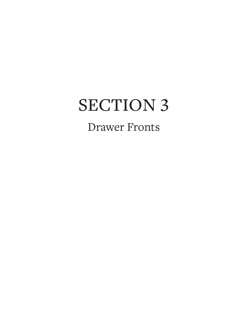# SECTION 3

Drawer Fronts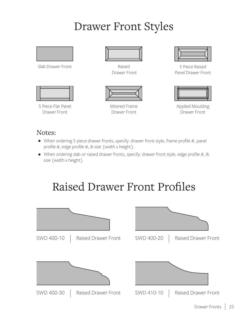## Drawer Front Styles



#### Notes:

- $\bullet$  When ordering 5 piece drawer fronts, specify: drawer front style, frame profile #, panel profile  $#$ , edge profile  $#$ , & size (width x height).
- $\bullet$  When ordering slab or raised drawer fronts, specify: drawer front style, edge profile #, & size (width x height).

### Raised Drawer Front Profiles